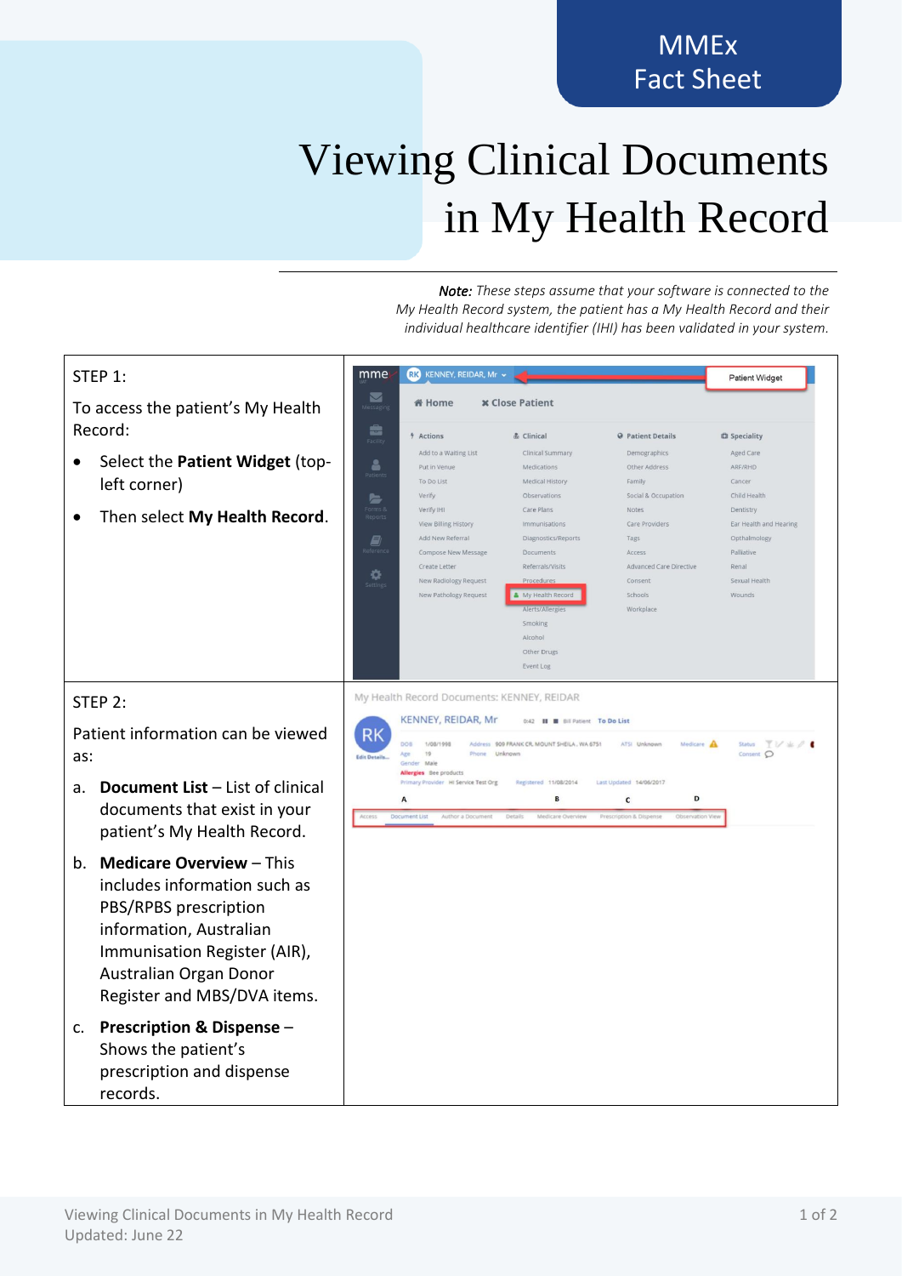## **MMEx** Fact Sheet

## Viewing Clinical Documents in My Health Record

*Note: These steps assume that your software is connected to the My Health Record system, the patient has a My Health Record and their individual healthcare identifier (IHI) has been validated in your system.*